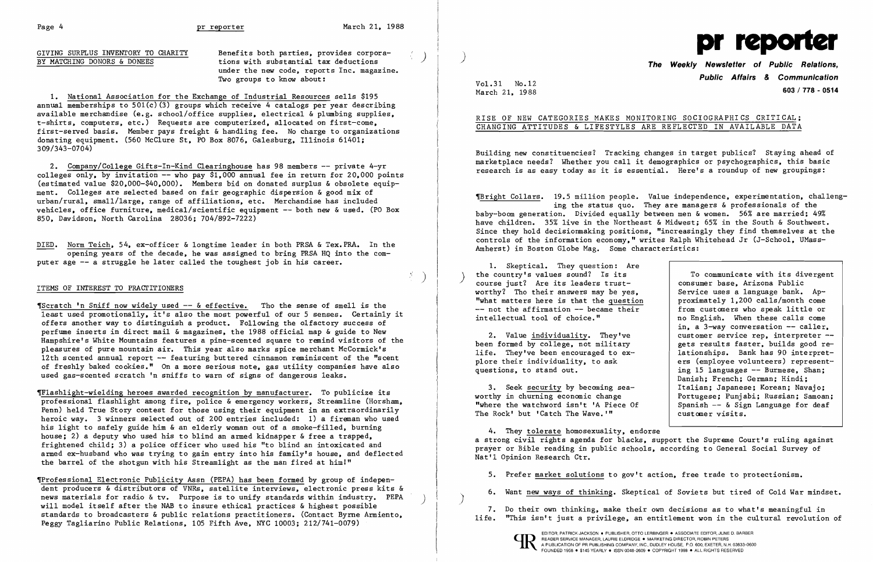$\langle \delta \rangle$ 

GIVING SURPLUS INVENTORY TO CHARITY Benefits both parties, provides corpora-<br>BY MATCHING DONORS & DONEES tions with substantial tax deductions under the new code, reports Inc. magazine. Two groups to know about:

1. National Association for the Exchange of Industrial Resources sells \$195 annual memberships to  $501(c)(3)$  groups which receive 4 catalogs per year describing available merchandise (e.g. school/office supplies, electrical & plumbing supplies, t-shirts, computers, etc.) Requests are computerized, allocated on first-come, first-served basis. Member pays freight & handling fee. No charge to organizations donating equipment. (560 McClure St. PO Box 8076, Galesburg, Illinois 61401; 309/343-0704)

2. Company/College Gifts-In-Kind Clearinghouse has 98 members -- private 4-yr colleges only, by invitation  $--$  who pay \$1,000 annual fee in return for 20,000 points (estimated value \$20,000-\$40,000). Members bid on donated surplus & obsolete equipment. Colleges are selected based on fair geographic dispersion & good mix of urban/rural, small/large, range of affiliations, etc. Merchandise has included vehicles, office furniture, medical/scientific equipment -- both new & used. (PO Box 850, Davidson, North Carolina 28036; 704/892-7222)

DIED. Norm Teich, 54, ex-officer & longtime leader in both PRSA & Tex.PRA. In the opening years of the decade, he was assigned to bring PRSA HQ into the computer age -- a struggle he later called the toughest job in his career.

## ITEMS OF INTEREST TO PRACTITIONERS

The Weekly Newsletter of Public Relations, Public Affairs & Communication March 21, 1988

'Scratch 'n Sniff now widely used -- & effective. Tho the sense of smell is the least used promotionally, it's also the most powerful of our 5 senses. Certainly it offers another way to distinguish a product. Following the olfactory success of perfume inserts in direct mail & magazines, the 1988 official map & guide to New Hampshire's White Mountains features a pine-scented square to remind visitors of the pleasures of pure mountain air. This year also marks spice merchant McCormick's 12th scented annual report -- featuring buttered cinnamon reminiscent of the "scent of freshly baked cookies." On a more serious note, gas utility companies have also used gas-scented scratch 'n sniffs to warn of signs of dangerous leaks.

> 3. Seek security by becoming seaworthy in churning economic change "where the watchword isn't 'A Piece Of The Rock' but 'Catch The Wave.'"

,Flashlight-wielding heroes awarded recognition by manufacturer. To publicize its professional flashlight among fire, police & emergency workers, Streamline (Horsham, Penn) held True Story contest for those using their equipment in an extraordinarily heroic way. 3 winners selected out of 200 entries included: 1) a fireman who used his light to safely guide him &an elderly woman out of a smoke-filled, burning house; 2) a deputy who used his to blind an armed kidnapper  $\&$  free a trapped, frightened child; 3) a police officer who used his "to blind an intoxicated and armed ex-husband who was trying to gain entry into his family's house, and deflected the barrel of the shotgun with his Streamlight as the man fired at himl"

,Professional Electronic Publicity Assn (PEPA) has been formed by group of independent producers & distributors of VNRs, satellite interviews, electronic press kits & news materials for radio & tv. Purpose is to unify standards within industry. PEPA will model itself after the NAB to insure ethical practices & highest possible standards to broadcasters & public relations practitioners. (Contact Byrne Armiento, Peggy Tagliarino Public Relations, 105 Fifth Ave, NYC 10003; 212/741-0079)

)

)

 $\}$  $\mathbf{I} = \{ \mathbf{I} \mid \mathbf{I} \in \mathcal{I} \}$ 



Vol. 31 No.12

## RISE OF NEW CATEGORIES MAKES MONITORING SOCIOGRAPHICS CRITICAL; CHANGING ATTITUDES & LIFESTYLES ARE REFLECTED IN AVAILABLE DATA

Building new constituencies? Tracking changes in target publics? Staying ahead of marketplace needs? Whether you call it demographics or psychographics, this basic research is as easy today as it is essential. Here's a roundup of new groupings:

'Bright Collars. 19.5 million people. Value independence, experimentation, challenging the status quo. They are managers & professionals of the baby-boom generation. Divided equally between men & women. 56% are married; 49% have children. 35% live in the Northeast & Midwest; 65% in the South & Southwest. Since they hold decisionmaking positions, "increasingly they find themselves at the controls of the information economy," writes Ralph Whitehead Jr (J-School, UMass-Amherst) in Boston Globe Mag. Some characteristics:

1. Skeptical. They question: Are the country's values sound? Is its course just? Are its leaders trustworthy? Tho their answers may be yes, "what matters here is that the question  $--$  not the affirmation  $--$  became their intellectual tool of choice."

2. Value individuality. They've been formed by college, not military life. They've been encouraged to explore their individuality, to ask questions, to stand out.

To communicate with its divergent consumer base, Arizona Public Service uses a language bank. Approximately 1,200 calls/month come from customers who speak little or no English. When these calls come in, a 3-way conversation -- caller, customer service rep, interpreter -gets results faster, builds good relationships. Bank has 90 interpreters (employee volunteers) representing 15 languages -- Burmese, Shan; Danish; French; German; Hindi; Italian; Japanese; Korean; Navajo; Portugese; Punjabi; Russian; Samoan; Spanish  $-$  & Sign Language for deaf customer visits.

4. They tolerate homosexuality, endorse a strong civil rights agenda for blacks, support the Supreme Court's ruling against prayer or Bible reading in public schools, according to General Social Survey of Nat'l Opinion Research Ctr.

5. Prefer market solutions to gov't action, free trade to protectionism.

6. Want new ways of thinking. Skeptical of Soviets but tired of Cold War mindset.

7. Do their own thinking, make their own decisions as to what's meaningful in life. "This isn't just a privilege, an entitlement won in the cultural revolution of

EDITOR, PATRICK JACKSON . PUBLISHER, OTTO LERBINGER . ASSOCIATE EDITOR, JUNE D. BARBER<br>
A PUBLICATION OF PR PUBLISHING COMPANY, INC., DUDLEY HOUSE, P.O. 600, EXETER, N.H. 03833-060<br>
POUNDED 1958 . ST45 YEARLY . ISSN 0048-2 FOUNDED 1958 . \$145 YEARLY . ISSN 0048-2609 . COPYRIGHT 1988 . ALL RIGHTS RESERVED